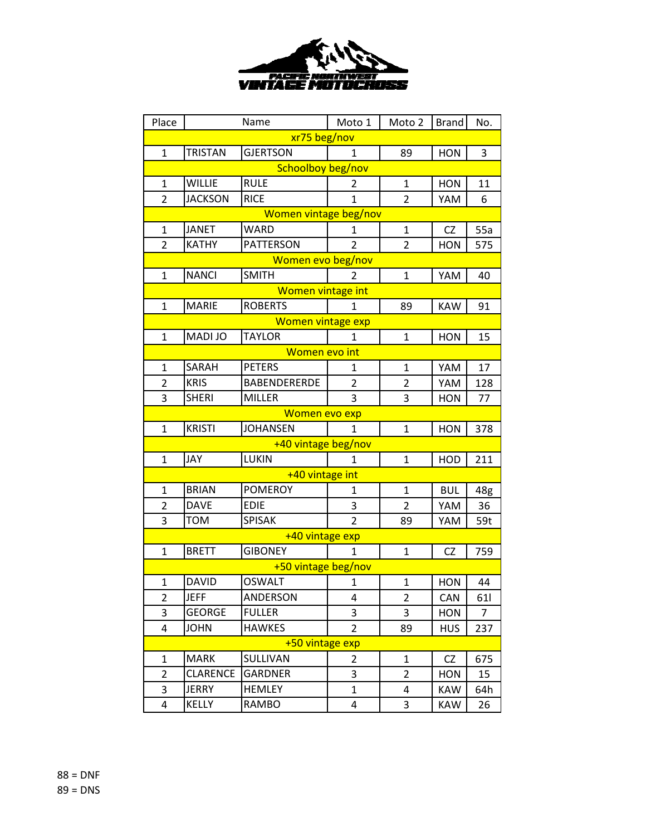

| Place          |                   | Name                     | Moto 1         | Moto 2         | <b>Brand</b> | No. |  |  |
|----------------|-------------------|--------------------------|----------------|----------------|--------------|-----|--|--|
| xr75 beg/nov   |                   |                          |                |                |              |     |  |  |
| 1              | <b>TRISTAN</b>    | <b>GJERTSON</b>          | 1              | 89             | <b>HON</b>   | 3   |  |  |
|                | Schoolboy beg/nov |                          |                |                |              |     |  |  |
| $\mathbf{1}$   | <b>WILLIE</b>     | <b>RULE</b>              | 2              | $\mathbf{1}$   | <b>HON</b>   | 11  |  |  |
| $\overline{2}$ | <b>JACKSON</b>    | <b>RICE</b>              | 1              | $\overline{2}$ | YAM          | 6   |  |  |
|                |                   | Women vintage beg/nov    |                |                |              |     |  |  |
| 1              | <b>JANET</b>      | <b>WARD</b>              | 1              | 1              | CZ           | 55a |  |  |
| $\overline{2}$ | <b>KATHY</b>      | <b>PATTERSON</b>         | $\overline{2}$ | $\overline{2}$ | <b>HON</b>   | 575 |  |  |
|                |                   | Women evo beg/nov        |                |                |              |     |  |  |
| 1              | <b>NANCI</b>      | <b>SMITH</b>             | $\overline{2}$ | $\mathbf{1}$   | YAM          | 40  |  |  |
|                |                   | Women vintage int        |                |                |              |     |  |  |
| 1              | <b>MARIE</b>      | <b>ROBERTS</b>           | 1              | 89             | <b>KAW</b>   | 91  |  |  |
|                |                   | <b>Women vintage exp</b> |                |                |              |     |  |  |
| 1              | MADI JO           | <b>TAYLOR</b>            | 1              | $\mathbf{1}$   | <b>HON</b>   | 15  |  |  |
|                |                   | Women evo int            |                |                |              |     |  |  |
| 1              | SARAH             | <b>PETERS</b>            | 1              | 1              | YAM          | 17  |  |  |
| $\overline{2}$ | <b>KRIS</b>       | <b>BABENDERERDE</b>      | $\overline{2}$ | 2              | YAM          | 128 |  |  |
| 3              | <b>SHERI</b>      | <b>MILLER</b>            | 3              | 3              | <b>HON</b>   | 77  |  |  |
|                |                   | Women evo exp            |                |                |              |     |  |  |
| 1              | <b>KRISTI</b>     | <b>JOHANSEN</b>          | 1              | $\mathbf{1}$   | <b>HON</b>   | 378 |  |  |
|                |                   | +40 vintage beg/nov      |                |                |              |     |  |  |
| $\mathbf{1}$   | <b>JAY</b>        | <b>LUKIN</b>             | 1              | $\mathbf{1}$   | HOD          | 211 |  |  |
|                |                   | +40 vintage int          |                |                |              |     |  |  |
| $\mathbf 1$    | <b>BRIAN</b>      | <b>POMEROY</b>           | 1              | 1              | <b>BUL</b>   | 48g |  |  |
| $\overline{2}$ | <b>DAVE</b>       | <b>EDIE</b>              | 3              | 2              | YAM          | 36  |  |  |
| 3              | TOM               | <b>SPISAK</b>            | $\overline{2}$ | 89             | YAM          | 59t |  |  |
|                |                   | +40 vintage exp          |                |                |              |     |  |  |
| $\mathbf{1}$   | <b>BRETT</b>      | <b>GIBONEY</b>           | 1              | $\mathbf{1}$   | <b>CZ</b>    | 759 |  |  |
|                |                   | +50 vintage beg/nov      |                |                |              |     |  |  |
| $\mathbf{1}$   | <b>DAVID</b>      | <b>OSWALT</b>            | 1              | $\mathbf{1}$   | HON          | 44  |  |  |
| $\overline{2}$ | <b>JEFF</b>       | ANDERSON                 | 4              | $\overline{2}$ | CAN          | 61  |  |  |
| 3              | <b>GEORGE</b>     | <b>FULLER</b>            | 3              | 3              | <b>HON</b>   | 7   |  |  |
| 4              | <b>JOHN</b>       | <b>HAWKES</b>            | $\overline{2}$ | 89             | <b>HUS</b>   | 237 |  |  |
|                |                   | +50 vintage exp          |                |                |              |     |  |  |
| 1              | <b>MARK</b>       | SULLIVAN                 | 2              | 1              | CZ           | 675 |  |  |
| $\overline{2}$ | <b>CLARENCE</b>   | <b>GARDNER</b>           | 3              | $\overline{2}$ | <b>HON</b>   | 15  |  |  |
| 3              | <b>JERRY</b>      | <b>HEMLEY</b>            | $\mathbf{1}$   | 4              | <b>KAW</b>   | 64h |  |  |
| 4              | <b>KELLY</b>      | RAMBO                    | 4              | 3              | <b>KAW</b>   | 26  |  |  |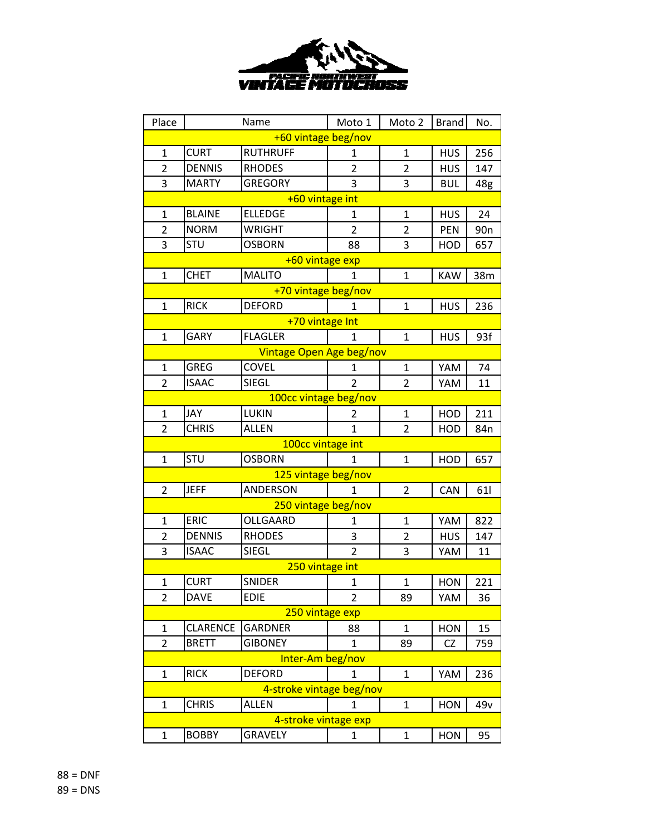

| Place               |                 | Name                     | Moto 1         | Moto 2         | <b>Brand</b> | No.             |  |
|---------------------|-----------------|--------------------------|----------------|----------------|--------------|-----------------|--|
| +60 vintage beg/nov |                 |                          |                |                |              |                 |  |
| 1                   | <b>CURT</b>     | <b>RUTHRUFF</b>          | 1              | $\mathbf{1}$   | <b>HUS</b>   | 256             |  |
| $\overline{2}$      | <b>DENNIS</b>   | <b>RHODES</b>            | 2              | 2              | <b>HUS</b>   | 147             |  |
| 3                   | <b>MARTY</b>    | <b>GREGORY</b>           | 3              | 3              | <b>BUL</b>   | 48g             |  |
|                     |                 | +60 vintage int          |                |                |              |                 |  |
| 1                   | <b>BLAINE</b>   | <b>ELLEDGE</b>           | 1              | 1              | <b>HUS</b>   | 24              |  |
| $\overline{2}$      | <b>NORM</b>     | <b>WRIGHT</b>            | $\overline{2}$ | 2              | <b>PEN</b>   | 90 <sub>n</sub> |  |
| 3                   | STU             | <b>OSBORN</b>            | 88             | 3              | HOD          | 657             |  |
|                     |                 | +60 vintage exp          |                |                |              |                 |  |
| $\mathbf 1$         | <b>CHET</b>     | <b>MALITO</b>            | 1              | $\mathbf{1}$   | <b>KAW</b>   | 38m             |  |
|                     |                 | +70 vintage beg/nov      |                |                |              |                 |  |
| 1                   | <b>RICK</b>     | <b>DEFORD</b>            | 1              | $\mathbf 1$    | <b>HUS</b>   | 236             |  |
|                     |                 | +70 vintage Int          |                |                |              |                 |  |
| 1                   | <b>GARY</b>     | <b>FLAGLER</b>           | 1.             | 1              | <b>HUS</b>   | 93f             |  |
|                     |                 | Vintage Open Age beg/nov |                |                |              |                 |  |
| 1                   | <b>GREG</b>     | <b>COVEL</b>             | 1              | 1              | YAM          | 74              |  |
| $\overline{2}$      | <b>ISAAC</b>    | <b>SIEGL</b>             | $\overline{2}$ | $\overline{2}$ | YAM          | 11              |  |
|                     |                 | 100cc vintage beg/nov    |                |                |              |                 |  |
| 1                   | JAY             | LUKIN                    | 2              | 1              | HOD          | 211             |  |
| 2                   | <b>CHRIS</b>    | <b>ALLEN</b>             | $\mathbf{1}$   | 2              | HOD          | 84 <sub>n</sub> |  |
|                     |                 | 100cc vintage int        |                |                |              |                 |  |
| $\mathbf{1}$        | <b>STU</b>      | <b>OSBORN</b>            | 1              | $\mathbf{1}$   | HOD          | 657             |  |
|                     |                 | 125 vintage beg/nov      |                |                |              |                 |  |
| 2                   | <b>JEFF</b>     | <b>ANDERSON</b>          | 1              | 2              | <b>CAN</b>   | 61              |  |
|                     |                 | 250 vintage beg/nov      |                |                |              |                 |  |
| 1                   | <b>ERIC</b>     | OLLGAARD                 | 1              | $\mathbf{1}$   | YAM          | 822             |  |
| 2                   | <b>DENNIS</b>   | <b>RHODES</b>            | 3              | 2              | <b>HUS</b>   | 147             |  |
| 3                   | <b>ISAAC</b>    | SIEGL                    | 2              | 3              | YAM          | 11              |  |
|                     |                 | 250 vintage int          |                |                |              |                 |  |
| 1                   | <b>CURT</b>     | <b>SNIDER</b>            | 1              | $\mathbf{1}$   | <b>HON</b>   | 221             |  |
| $\overline{2}$      | <b>DAVE</b>     | <b>EDIE</b>              | $\overline{2}$ | 89             | YAM          | 36              |  |
| 250 vintage exp     |                 |                          |                |                |              |                 |  |
| 1                   | <b>CLARENCE</b> | <b>GARDNER</b>           | 88             | 1              | <b>HON</b>   | 15              |  |
| 2                   | <b>BRETT</b>    | <b>GIBONEY</b>           | $\mathbf{1}$   | 89             | <b>CZ</b>    | 759             |  |
|                     |                 | Inter-Am beg/nov         |                |                |              |                 |  |
| 1                   | <b>RICK</b>     | <b>DEFORD</b>            | $\mathbf{1}$   | $\mathbf{1}$   | YAM          | 236             |  |
|                     |                 | 4-stroke vintage beg/nov |                |                |              |                 |  |
| 1                   | <b>CHRIS</b>    | <b>ALLEN</b>             | 1              | 1              | <b>HON</b>   | 49 <sub>v</sub> |  |
|                     |                 | 4-stroke vintage exp     |                |                |              |                 |  |
| 1                   | <b>BOBBY</b>    | <b>GRAVELY</b>           | 1              | 1              | <b>HON</b>   | 95              |  |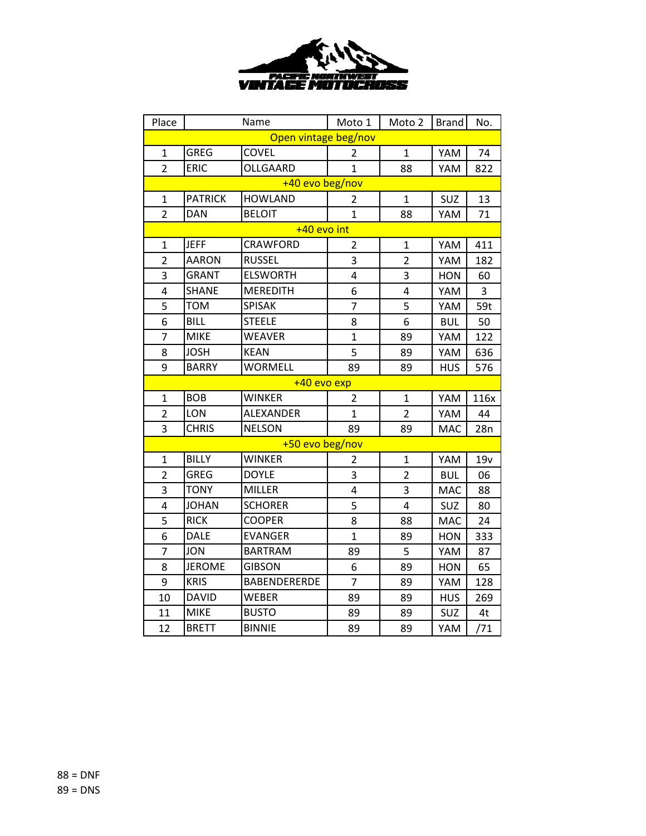

| Place                   | Name           |                     | Moto 1         | Moto 2         | <b>Brand</b> | No.            |  |  |
|-------------------------|----------------|---------------------|----------------|----------------|--------------|----------------|--|--|
| Open vintage beg/nov    |                |                     |                |                |              |                |  |  |
| $\mathbf{1}$            | GREG           | <b>COVEL</b>        | 2              | $\mathbf{1}$   | YAM          | 74             |  |  |
| $\overline{2}$          | <b>ERIC</b>    | OLLGAARD            | $\mathbf{1}$   | 88             | YAM          | 822            |  |  |
|                         |                | +40 evo beg/nov     |                |                |              |                |  |  |
| 1                       | <b>PATRICK</b> | <b>HOWLAND</b>      | 2              | 1              | SUZ          | 13             |  |  |
| $\overline{2}$          | <b>DAN</b>     | <b>BELOIT</b>       | $\overline{1}$ | 88             | YAM          | 71             |  |  |
|                         |                | +40 evo int         |                |                |              |                |  |  |
| $\mathbf{1}$            | <b>JEFF</b>    | <b>CRAWFORD</b>     | $\overline{2}$ | $\overline{1}$ | YAM          | 411            |  |  |
| $\overline{c}$          | <b>AARON</b>   | <b>RUSSEL</b>       | 3              | $\overline{2}$ | YAM          | 182            |  |  |
| 3                       | <b>GRANT</b>   | <b>ELSWORTH</b>     | 4              | 3              | <b>HON</b>   | 60             |  |  |
| 4                       | <b>SHANE</b>   | MEREDITH            | 6              | 4              | YAM          | $\overline{3}$ |  |  |
| 5                       | <b>TOM</b>     | SPISAK              | $\overline{7}$ | 5              | YAM          | 59t            |  |  |
| 6                       | <b>BILL</b>    | <b>STEELE</b>       | 8              | 6              | <b>BUL</b>   | 50             |  |  |
| $\overline{7}$          | <b>MIKE</b>    | <b>WEAVER</b>       | $\mathbf{1}$   | 89             | YAM          | 122            |  |  |
| 8                       | <b>JOSH</b>    | <b>KEAN</b>         | 5              | 89             | YAM          | 636            |  |  |
| 9                       | <b>BARRY</b>   | <b>WORMELL</b>      | 89             | 89             | <b>HUS</b>   | 576            |  |  |
|                         |                | +40 evo exp         |                |                |              |                |  |  |
| $\mathbf{1}$            | <b>BOB</b>     | <b>WINKER</b>       | $\overline{2}$ | $\mathbf{1}$   | YAM          | 116x           |  |  |
| $\overline{2}$          | LON            | ALEXANDER           | $\mathbf{1}$   | $\overline{2}$ | YAM          | 44             |  |  |
| 3                       | <b>CHRIS</b>   | <b>NELSON</b>       | 89             | 89             | <b>MAC</b>   | 28n            |  |  |
|                         |                | +50 evo beg/nov     |                |                |              |                |  |  |
| $\mathbf{1}$            | <b>BILLY</b>   | <b>WINKER</b>       | $\overline{2}$ | $\mathbf{1}$   | YAM          | 19v            |  |  |
| $\overline{2}$          | GREG           | <b>DOYLE</b>        | 3              | $\overline{2}$ | <b>BUL</b>   | 06             |  |  |
| $\overline{3}$          | <b>TONY</b>    | <b>MILLER</b>       | 4              | 3              | MAC          | 88             |  |  |
| $\overline{\mathbf{4}}$ | <b>JOHAN</b>   | <b>SCHORER</b>      | 5              | 4              | SUZ          | 80             |  |  |
| 5                       | <b>RICK</b>    | <b>COOPER</b>       | 8              | 88             | <b>MAC</b>   | 24             |  |  |
| 6                       | <b>DALE</b>    | <b>EVANGER</b>      | $\overline{1}$ | 89             | <b>HON</b>   | 333            |  |  |
| 7                       | <b>JON</b>     | <b>BARTRAM</b>      | 89             | 5              | YAM          | 87             |  |  |
| 8                       | <b>JEROME</b>  | <b>GIBSON</b>       | 6              | 89             | <b>HON</b>   | 65             |  |  |
| 9                       | <b>KRIS</b>    | <b>BABENDERERDE</b> | 7              | 89             | YAM          | 128            |  |  |
| 10                      | <b>DAVID</b>   | <b>WEBER</b>        | 89             | 89             | <b>HUS</b>   | 269            |  |  |
| 11                      | <b>MIKE</b>    | <b>BUSTO</b>        | 89             | 89             | SUZ          | 4t             |  |  |
| 12                      | <b>BRETT</b>   | <b>BINNIE</b>       | 89             | 89             | YAM          | /71            |  |  |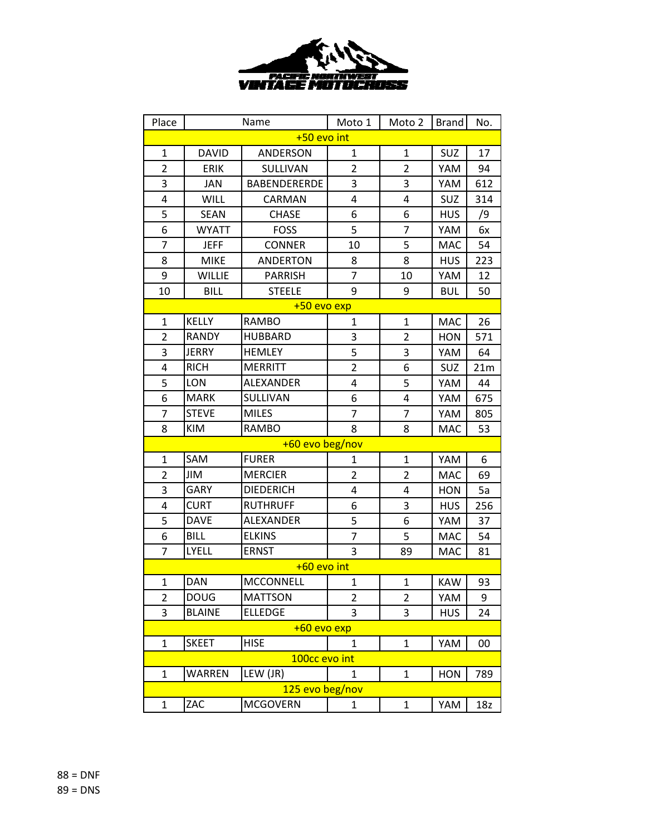

| Place          |               | Name                | Moto 1         | Moto 2         | <b>Brand</b> | No.             |  |
|----------------|---------------|---------------------|----------------|----------------|--------------|-----------------|--|
| +50 evo int    |               |                     |                |                |              |                 |  |
| $\mathbf{1}$   | <b>DAVID</b>  | <b>ANDERSON</b>     | 1              | $\mathbf{1}$   | SUZ          | 17              |  |
| $\overline{2}$ | <b>ERIK</b>   | SULLIVAN            | $\overline{2}$ | $\overline{2}$ | YAM          | 94              |  |
| 3              | JAN           | <b>BABENDERERDE</b> | 3              | 3              | YAM          | 612             |  |
| 4              | WILL          | CARMAN              | 4              | 4              | SUZ          | 314             |  |
| 5              | <b>SEAN</b>   | <b>CHASE</b>        | 6              | 6              | <b>HUS</b>   | /9              |  |
| 6              | <b>WYATT</b>  | <b>FOSS</b>         | 5              | $\overline{7}$ | YAM          | 6x              |  |
| 7              | <b>JEFF</b>   | <b>CONNER</b>       | 10             | 5              | <b>MAC</b>   | 54              |  |
| 8              | <b>MIKE</b>   | <b>ANDERTON</b>     | 8              | 8              | <b>HUS</b>   | 223             |  |
| 9              | <b>WILLIE</b> | <b>PARRISH</b>      | 7              | 10             | YAM          | 12              |  |
| 10             | <b>BILL</b>   | <b>STEELE</b>       | 9              | 9              | <b>BUL</b>   | 50              |  |
|                |               | +50 evo exp         |                |                |              |                 |  |
| $\mathbf{1}$   | <b>KELLY</b>  | <b>RAMBO</b>        | 1              | $\mathbf{1}$   | MAC          | 26              |  |
| $\overline{2}$ | RANDY         | <b>HUBBARD</b>      | 3              | $\overline{2}$ | <b>HON</b>   | 571             |  |
| 3              | <b>JERRY</b>  | <b>HEMLEY</b>       | 5              | 3              | YAM          | 64              |  |
| 4              | <b>RICH</b>   | <b>MERRITT</b>      | $\overline{2}$ | 6              | SUZ          | 21 <sub>m</sub> |  |
| 5              | LON           | ALEXANDER           | 4              | 5              | YAM          | 44              |  |
| 6              | <b>MARK</b>   | SULLIVAN            | 6              | 4              | YAM          | 675             |  |
| $\overline{7}$ | <b>STEVE</b>  | <b>MILES</b>        | 7              | $\overline{7}$ | YAM          | 805             |  |
| 8              | KIM           | <b>RAMBO</b>        | 8              | 8              | MAC          | 53              |  |
|                |               | +60 evo beg/nov     |                |                |              |                 |  |
| $\mathbf{1}$   | SAM           | <b>FURER</b>        | 1              | $\mathbf{1}$   | YAM          | 6               |  |
| $\overline{2}$ | JIM           | <b>MERCIER</b>      | $\overline{2}$ | $\overline{2}$ | <b>MAC</b>   | 69              |  |
| 3              | <b>GARY</b>   | <b>DIEDERICH</b>    | 4              | 4              | <b>HON</b>   | 5a              |  |
| 4              | <b>CURT</b>   | <b>RUTHRUFF</b>     | 6              | 3              | <b>HUS</b>   | 256             |  |
| 5              | <b>DAVE</b>   | ALEXANDER           | 5              | 6              | YAM          | 37              |  |
| 6              | <b>BILL</b>   | <b>ELKINS</b>       | 7              | 5              | MAC          | 54              |  |
| 7              | LYELL         | <b>ERNST</b>        | 3              | 89             | MAC          | 81              |  |
|                |               | +60 evo int         |                |                |              |                 |  |
| $\mathbf{1}$   | DAN           | <b>MCCONNELL</b>    | $\mathbf 1$    | $\mathbf{1}$   | <b>KAW</b>   | 93              |  |
| $\overline{2}$ | <b>DOUG</b>   | <b>MATTSON</b>      | $\overline{2}$ | $\overline{2}$ | YAM          | 9               |  |
| 3              | <b>BLAINE</b> | <b>ELLEDGE</b>      | 3              | $\mathbf{3}$   | <b>HUS</b>   | 24              |  |
|                |               | +60 evo exp         |                |                |              |                 |  |
| $\mathbf{1}$   | <b>SKEET</b>  | <b>HISE</b>         | $\mathbf{1}$   | $\mathbf{1}$   | YAM          | 00              |  |
|                |               | 100cc evo int       |                |                |              |                 |  |
| 1              | WARREN        | LEW (JR)            | $\mathbf{1}$   | $\mathbf{1}$   | <b>HON</b>   | 789             |  |
|                |               | 125 evo beg/nov     |                |                |              |                 |  |
| $\mathbf{1}$   | ZAC           | <b>MCGOVERN</b>     | 1              | $\mathbf{1}$   | YAM          | 18z             |  |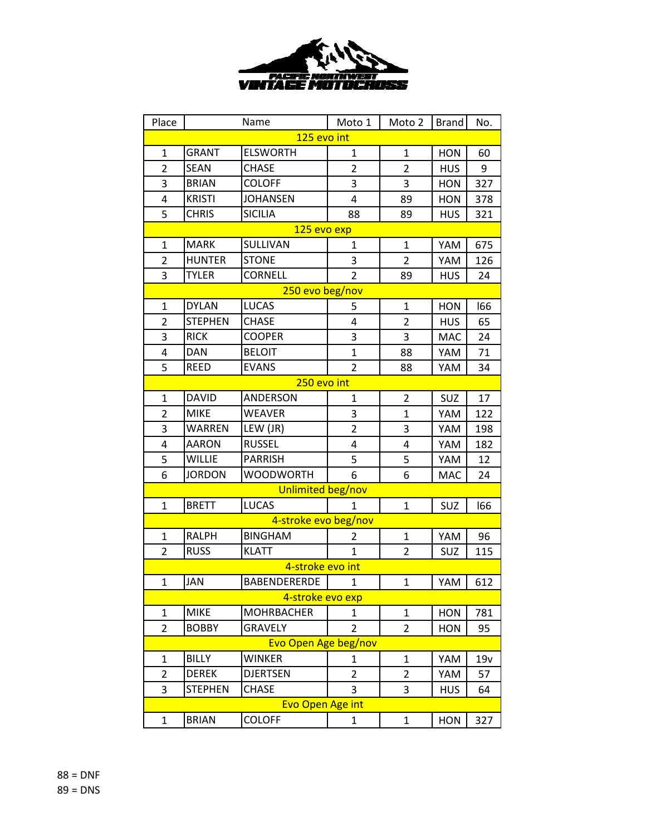

| Place          |                | Name                    | Moto 1         | Moto 2         | <b>Brand</b> | No. |  |
|----------------|----------------|-------------------------|----------------|----------------|--------------|-----|--|
| 125 evo int    |                |                         |                |                |              |     |  |
| 1              | <b>GRANT</b>   | <b>ELSWORTH</b>         | $\mathbf{1}$   | $\mathbf{1}$   | <b>HON</b>   | 60  |  |
| $\overline{2}$ | <b>SEAN</b>    | <b>CHASE</b>            | $\overline{2}$ | $\overline{2}$ | <b>HUS</b>   | 9   |  |
| 3              | <b>BRIAN</b>   | <b>COLOFF</b>           | 3              | 3              | <b>HON</b>   | 327 |  |
| 4              | <b>KRISTI</b>  | <b>JOHANSEN</b>         | 4              | 89             | <b>HON</b>   | 378 |  |
| 5              | <b>CHRIS</b>   | <b>SICILIA</b>          | 88             | 89             | <b>HUS</b>   | 321 |  |
|                |                | 125 evo exp             |                |                |              |     |  |
| 1              | <b>MARK</b>    | SULLIVAN                | $\mathbf{1}$   | $\mathbf{1}$   | YAM          | 675 |  |
| $\overline{2}$ | <b>HUNTER</b>  | <b>STONE</b>            | 3              | $\overline{2}$ | YAM          | 126 |  |
| 3              | <b>TYLER</b>   | <b>CORNELL</b>          | $\overline{2}$ | 89             | <b>HUS</b>   | 24  |  |
|                |                | 250 evo beg/nov         |                |                |              |     |  |
| $\mathbf{1}$   | <b>DYLAN</b>   | <b>LUCAS</b>            | 5              | $\mathbf{1}$   | <b>HON</b>   | 166 |  |
| 2              | <b>STEPHEN</b> | <b>CHASE</b>            | 4              | $\overline{2}$ | <b>HUS</b>   | 65  |  |
| 3              | <b>RICK</b>    | <b>COOPER</b>           | 3              | 3              | <b>MAC</b>   | 24  |  |
| 4              | <b>DAN</b>     | <b>BELOIT</b>           | $\mathbf{1}$   | 88             | YAM          | 71  |  |
| 5              | <b>REED</b>    | <b>EVANS</b>            | $\overline{2}$ | 88             | YAM          | 34  |  |
|                |                | 250 evo int             |                |                |              |     |  |
| $\mathbf{1}$   | <b>DAVID</b>   | <b>ANDERSON</b>         | $\mathbf{1}$   | $\overline{2}$ | SUZ          | 17  |  |
| $\overline{2}$ | <b>MIKE</b>    | <b>WEAVER</b>           | 3              | $\mathbf{1}$   | YAM          | 122 |  |
| 3              | WARREN         | LEW (JR)                | $\overline{2}$ | 3              | YAM          | 198 |  |
| 4              | AARON          | <b>RUSSEL</b>           | 4              | 4              | YAM          | 182 |  |
| 5              | <b>WILLIE</b>  | <b>PARRISH</b>          | 5              | 5              | YAM          | 12  |  |
| 6              | <b>JORDON</b>  | <b>WOODWORTH</b>        | 6              | 6              | MAC          | 24  |  |
|                |                | Unlimited beg/nov       |                |                |              |     |  |
| $\mathbf{1}$   | <b>BRETT</b>   | <b>LUCAS</b>            | $\mathbf{1}$   | $\mathbf{1}$   | SUZ          | 166 |  |
|                |                | 4-stroke evo beg/nov    |                |                |              |     |  |
| 1              | <b>RALPH</b>   | <b>BINGHAM</b>          | 2              | $\mathbf{1}$   | YAM          | 96  |  |
| $\overline{2}$ | <b>RUSS</b>    | <b>KLATT</b>            | $\mathbf{1}$   | $\overline{2}$ | SUZ          | 115 |  |
|                |                | 4-stroke evo int        |                |                |              |     |  |
| $\mathbf 1$    | <b>JAN</b>     | BABENDERERDE            | $\mathbf{1}$   | $\mathbf{1}$   | YAM          | 612 |  |
|                |                | 4-stroke evo exp        |                |                |              |     |  |
| 1              | <b>MIKE</b>    | <b>MOHRBACHER</b>       | 1              | $\mathbf{1}$   | <b>HON</b>   | 781 |  |
| $\overline{2}$ | <b>BOBBY</b>   | <b>GRAVELY</b>          | $\overline{2}$ | $\overline{2}$ | <b>HON</b>   | 95  |  |
|                |                | Evo Open Age beg/nov    |                |                |              |     |  |
| 1              | <b>BILLY</b>   | <b>WINKER</b>           | 1              | $\mathbf{1}$   | YAM          | 19v |  |
| $\overline{2}$ | <b>DEREK</b>   | <b>DJERTSEN</b>         | $\overline{2}$ | $\overline{2}$ | YAM          | 57  |  |
| 3              | <b>STEPHEN</b> | <b>CHASE</b>            | 3              | 3              | <b>HUS</b>   | 64  |  |
|                |                | <b>Evo Open Age int</b> |                |                |              |     |  |
| $\mathbf 1$    | <b>BRIAN</b>   | <b>COLOFF</b>           | 1              | $\mathbf{1}$   | <b>HON</b>   | 327 |  |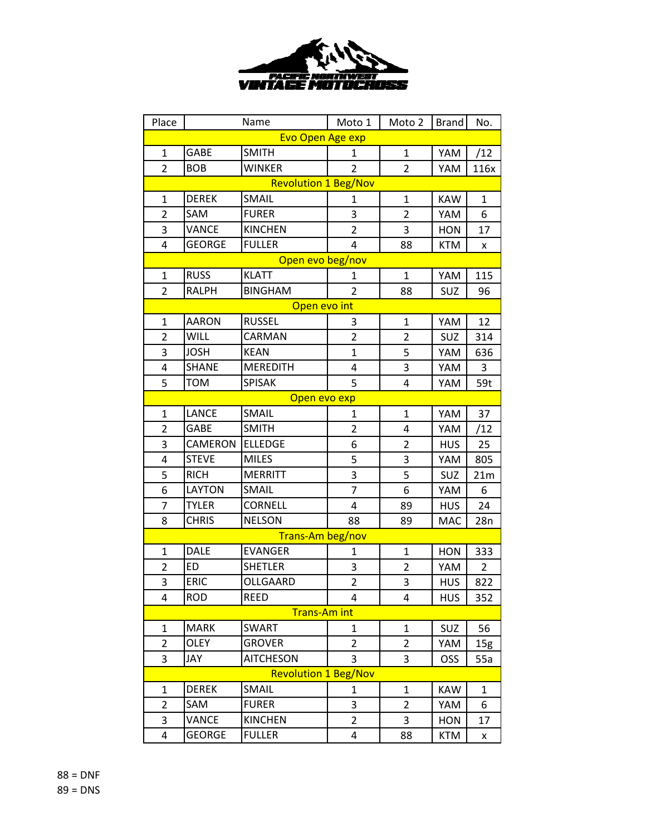

| Place                       |               | Name                        | Moto 1                  | Moto 2         | <b>Brand</b> | No.             |  |
|-----------------------------|---------------|-----------------------------|-------------------------|----------------|--------------|-----------------|--|
| <b>Evo Open Age exp</b>     |               |                             |                         |                |              |                 |  |
| 1                           | <b>GABE</b>   | <b>SMITH</b>                | 1                       | 1              | YAM          | /12             |  |
| $\overline{2}$              | <b>BOB</b>    | <b>WINKER</b>               | $\overline{2}$          | $\overline{2}$ | YAM          | 116x            |  |
|                             |               | <b>Revolution 1 Beg/Nov</b> |                         |                |              |                 |  |
| $\mathbf{1}$                | <b>DEREK</b>  | SMAIL                       | 1                       | $\mathbf{1}$   | <b>KAW</b>   | $\mathbf{1}$    |  |
| $\overline{2}$              | SAM           | <b>FURER</b>                | 3                       | 2              | YAM          | 6               |  |
| 3                           | <b>VANCE</b>  | <b>KINCHEN</b>              | $\overline{2}$          | 3              | <b>HON</b>   | 17              |  |
| 4                           | <b>GEORGE</b> | <b>FULLER</b>               | 4                       | 88             | <b>KTM</b>   | x               |  |
|                             |               | Open evo beg/nov            |                         |                |              |                 |  |
| 1                           | <b>RUSS</b>   | <b>KLATT</b>                | 1                       | $\mathbf{1}$   | YAM          | 115             |  |
| $\overline{2}$              | <b>RALPH</b>  | <b>BINGHAM</b>              | $\overline{2}$          | 88             | SUZ          | 96              |  |
|                             |               | Open evo int                |                         |                |              |                 |  |
| 1                           | <b>AARON</b>  | <b>RUSSEL</b>               | 3                       | $\mathbf{1}$   | YAM          | 12              |  |
| 2                           | <b>WILL</b>   | CARMAN                      | $\overline{2}$          | 2              | SUZ          | 314             |  |
| 3                           | <b>JOSH</b>   | <b>KEAN</b>                 | $\mathbf{1}$            | 5              | YAM          | 636             |  |
| 4                           | <b>SHANE</b>  | <b>MEREDITH</b>             | 4                       | 3              | YAM          | 3               |  |
| 5                           | <b>TOM</b>    | SPISAK                      | 5                       | 4              | YAM          | 59t             |  |
|                             |               | Open evo exp                |                         |                |              |                 |  |
| 1                           | <b>LANCE</b>  | SMAIL                       | 1                       | $\mathbf{1}$   | YAM          | 37              |  |
| $\overline{2}$              | <b>GABE</b>   | <b>SMITH</b>                | $\overline{2}$          | 4              | YAM          | /12             |  |
| 3                           | CAMERON       | <b>ELLEDGE</b>              | 6                       | $\overline{2}$ | HUS          | 25              |  |
| 4                           | <b>STEVE</b>  | <b>MILES</b>                | 5                       | 3              | YAM          | 805             |  |
| 5                           | <b>RICH</b>   | <b>MERRITT</b>              | 3                       | 5              | SUZ          | 21m             |  |
| 6                           | <b>LAYTON</b> | SMAIL                       | $\overline{7}$          | 6              | YAM          | 6               |  |
| 7                           | <b>TYLER</b>  | <b>CORNELL</b>              | 4                       | 89             | <b>HUS</b>   | 24              |  |
| 8                           | <b>CHRIS</b>  | <b>NELSON</b>               | 88                      | 89             | <b>MAC</b>   | 28n             |  |
|                             |               | Trans-Am beg/nov            |                         |                |              |                 |  |
| 1                           | <b>DALE</b>   | <b>EVANGER</b>              | 1                       | 1              | <b>HON</b>   | 333             |  |
| $\overline{2}$              | ED            | <b>SHETLER</b>              | 3                       | $\overline{2}$ | YAM          | $\overline{2}$  |  |
| 3                           | <b>ERIC</b>   | <b>OLLGAARD</b>             | $\overline{\mathbf{c}}$ | 3              | <b>HUS</b>   | 822             |  |
| 4                           | <b>ROD</b>    | REED                        | 4                       | 4              | <b>HUS</b>   | 352             |  |
|                             |               | <b>Trans-Am int</b>         |                         |                |              |                 |  |
| 1                           | MARK          | <b>SWART</b>                | 1                       | 1              | SUZ          | 56              |  |
| $\overline{2}$              | <b>OLEY</b>   | <b>GROVER</b>               | $\overline{2}$          | 2              | YAM          | 15 <sub>g</sub> |  |
| 3                           | JAY           | <b>AITCHESON</b>            | 3                       | 3              | OSS          | 55a             |  |
| <b>Revolution 1 Beg/Nov</b> |               |                             |                         |                |              |                 |  |
| 1                           | <b>DEREK</b>  | <b>SMAIL</b>                | 1                       | 1              | <b>KAW</b>   | 1               |  |
| $\overline{2}$              | SAM           | <b>FURER</b>                | 3                       | $\overline{2}$ | YAM          | 6               |  |
| 3                           | <b>VANCE</b>  | <b>KINCHEN</b>              | $\overline{2}$          | 3              | <b>HON</b>   | 17              |  |
| 4                           | <b>GEORGE</b> | <b>FULLER</b>               | 4                       | 88             | <b>KTM</b>   | x               |  |